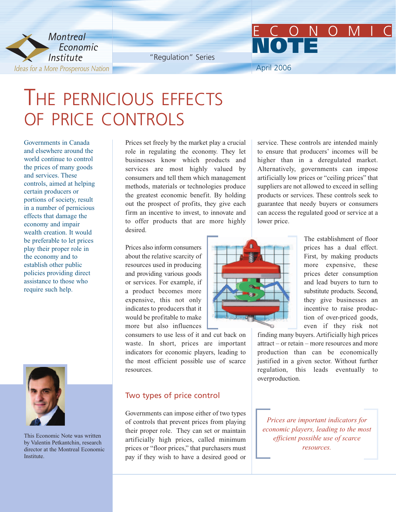

"Regulation" Series

April 2006

**NOTE**

# THE PERNICIOUS EFFECTS OF PRICE CONTROLS

Governments in Canada and elsewhere around the world continue to control the prices of many goods and services. These controls, aimed at helping certain producers or portions of society, result in a number of pernicious effects that damage the economy and impair wealth creation. It would be preferable to let prices play their proper role in the economy and to establish other public policies providing direct assistance to those who require such help.



This Economic Note was written by Valentin Petkantchin, research director at the Montreal Economic Institute.

Prices set freely by the market play a crucial role in regulating the economy. They let businesses know which products and services are most highly valued by consumers and tell them which management methods, materials or technologies produce the greatest economic benefit. By holding out the prospect of profits, they give each firm an incentive to invest, to innovate and to offer products that are more highly desired.

Prices also inform consumers about the relative scarcity of resources used in producing and providing various goods or services. For example, if a product becomes more expensive, this not only indicates to producers that it would be profitable to make more but also influences

consumers to use less of it and cut back on waste. In short, prices are important indicators for economic players, leading to the most efficient possible use of scarce resources.

#### Two types of price control

Governments can impose either of two types of controls that prevent prices from playing their proper role. They can set or maintain artificially high prices, called minimum prices or "floor prices," that purchasers must pay if they wish to have a desired good or

service. These controls are intended mainly to ensure that producers' incomes will be higher than in a deregulated market. Alternatively, governments can impose artificially low prices or "ceiling prices" that suppliers are not allowed to exceed in selling products or services. These controls seek to guarantee that needy buyers or consumers can access the regulated good or service at a lower price.

ECONOMIC



The establishment of floor prices has a dual effect. First, by making products more expensive, these prices deter consumption and lead buyers to turn to substitute products. Second, they give businesses an incentive to raise production of over-priced goods, even if they risk not

finding many buyers. Artificially high prices attract – or retain – more resources and more production than can be economically justified in a given sector. Without further regulation, this leads eventually to overproduction.

*Prices are important indicators for economic players, leading to the most efficient possible use of scarce resources.*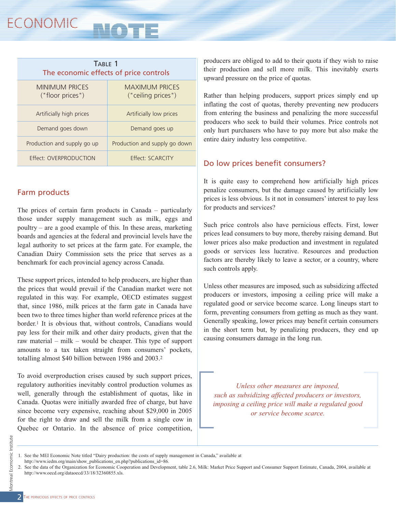| TABLE 1<br>The economic effects of price controls |  |
|---------------------------------------------------|--|
| <b>MAXIMUM PRICES</b><br>("ceiling prices")       |  |
| Artificially low prices                           |  |
| Demand goes up                                    |  |
| Production and supply go down                     |  |
| Effect: SCARCITY                                  |  |
|                                                   |  |

## Farm products

The prices of certain farm products in Canada – particularly those under supply management such as milk, eggs and poultry – are a good example of this. In these areas, marketing boards and agencies at the federal and provincial levels have the legal authority to set prices at the farm gate. For example, the Canadian Dairy Commission sets the price that serves as a benchmark for each provincial agency across Canada.

These support prices, intended to help producers, are higher than the prices that would prevail if the Canadian market were not regulated in this way. For example, OECD estimates suggest that, since 1986, milk prices at the farm gate in Canada have been two to three times higher than world reference prices at the border.1 It is obvious that, without controls, Canadians would pay less for their milk and other dairy products, given that the raw material – milk – would be cheaper. This type of support amounts to a tax taken straight from consumers' pockets, totalling almost \$40 billion between 1986 and 2003.2

To avoid overproduction crises caused by such support prices, regulatory authorities inevitably control production volumes as well, generally through the establishment of quotas, like in Canada. Quotas were initially awarded free of charge, but have since become very expensive, reaching about \$29,000 in 2005 for the right to draw and sell the milk from a single cow in Quebec or Ontario. In the absence of price competition, producers are obliged to add to their quota if they wish to raise their production and sell more milk. This inevitably exerts upward pressure on the price of quotas.

Rather than helping producers, support prices simply end up inflating the cost of quotas, thereby preventing new producers from entering the business and penalizing the more successful producers who seek to build their volumes. Price controls not only hurt purchasers who have to pay more but also make the entire dairy industry less competitive.

## Do low prices benefit consumers?

It is quite easy to comprehend how artificially high prices penalize consumers, but the damage caused by artificially low prices is less obvious. Is it not in consumers' interest to pay less for products and services?

Such price controls also have pernicious effects. First, lower prices lead consumers to buy more, thereby raising demand. But lower prices also make production and investment in regulated goods or services less lucrative. Resources and production factors are thereby likely to leave a sector, or a country, where such controls apply.

Unless other measures are imposed, such as subsidizing affected producers or investors, imposing a ceiling price will make a regulated good or service become scarce. Long lineups start to form, preventing consumers from getting as much as they want. Generally speaking, lower prices may benefit certain consumers in the short term but, by penalizing producers, they end up causing consumers damage in the long run.

*Unless other measures are imposed, such as subsidizing affected producers or investors, imposing a ceiling price will make a regulated good or service become scarce.*

<sup>1.</sup> See the MEI Economic Note titled "Dairy production: the costs of supply management in Canada," available at

[http://www.iedm.org/main/show\\_publications\\_en.php?publications\\_id=86.](http://www.iedm.org/main/show_publications_en.php?publications_id=86) 

<sup>2.</sup> See the data of the Organization for Economic Cooperation and Development, table 2.6, Milk: Market Price Support and Consumer Support Estimate, Canada, 2004, available at [http://www.oecd.org/dataoecd/33/18/32360855.xls.](http://www.oecd.org/dataoecd/33/18/32360855.xls)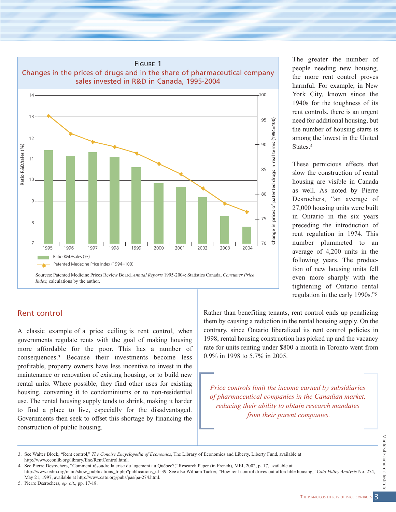

#### Rent control

A classic example of a price ceiling is rent control, when governments regulate rents with the goal of making housing more affordable for the poor. This has a number of consequences.3 Because their investments become less profitable, property owners have less incentive to invest in the maintenance or renovation of existing housing, or to build new rental units. Where possible, they find other uses for existing housing, converting it to condominiums or to non-residential use. The rental housing supply tends to shrink, making it harder to find a place to live, especially for the disadvantaged. Governments then seek to offset this shortage by financing the construction of public housing.

The greater the number of people needing new housing, the more rent control proves harmful. For example, in New York City, known since the 1940s for the toughness of its rent controls, there is an urgent need for additional housing, but the number of housing starts is among the lowest in the United States.4

These pernicious effects that slow the construction of rental housing are visible in Canada as well. As noted by Pierre Desrochers, "an average of 27,000 housing units were built in Ontario in the six years preceding the introduction of rent regulation in 1974. This number plummeted to an average of 4,200 units in the following years. The production of new housing units fell even more sharply with the tightening of Ontario rental regulation in the early 1990s."5

Rather than benefiting tenants, rent control ends up penalizing them by causing a reduction in the rental housing supply. On the contrary, since Ontario liberalized its rent control policies in 1998, rental housing construction has picked up and the vacancy rate for units renting under \$800 a month in Toronto went from 0.9% in 1998 to 5.7% in 2005.

*Price controls limit the income earned by subsidiaries of pharmaceutical companies in the Canadian market, reducing their ability to obtain research mandates from their parent companies.*

<sup>3.</sup> See Walter Block, "Rent control," *The Concise Encyclopedia of Economics*, The Library of Economics and Liberty, Liberty Fund, available at [http://www.econlib.org/library/Enc/RentControl.html.](http://www.econlib.org/library/Enc/RentControl.html)

<sup>4.</sup> See Pierre Desrochers, "Comment résoudre la crise du logement au Québec?," Research Paper (in French), MEI, 2002, p. 17, available at [http://www.iedm.org/main/show\\_publications\\_fr.php?publications\\_id=39.](http://www.iedm.org/main/show_publications_fr.php?publications_id=39) See also William Tucker, "How rent control drives out affordable housing," *Cato Policy Analysis* No. 274, May 21, 1997, available at [http://www.cato.org/pubs/pas/pa-274.html.](http://www.cato.org/pubs/pas/pa-274.html)

<sup>5.</sup> Pierre Desrochers, *op. cit*., pp. 17-18.